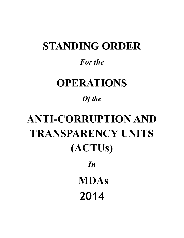# **STANDING ORDER**

### *For the*

## **OPERATIONS**

## *Of the*

# **ANTI-CORRUPTION AND TRANSPARENCY UNITS (ACTUs)** *In*   **MDAs 2014**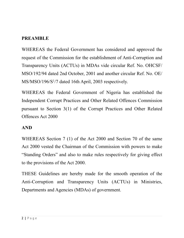#### **PREAMBLE**

WHEREAS the Federal Government has considered and approved the request of the Commission for the establishment of Anti-Corruption and Transparency Units (ACTUs) in MDAs vide circular Ref. No. OHCSF/ MSO/192/94 dated 2nd October, 2001 and another circular Ref. No. OE/ MS/MSO/196/S1/7 dated 16th April, 2003 respectively.

WHEREAS the Federal Government of Nigeria has established the Independent Corrupt Practices and Other Related Offences Commission pursuant to Section 3(1) of the Corrupt Practices and Other Related Offences Act 2000

#### **AND**

WHEREAS Section 7 (1) of the Act 2000 and Section 70 of the same Act 2000 vested the Chairman of the Commission with powers to make "Standing Orders" and also to make rules respectively for giving effect to the provisions of the Act 2000.

THESE Guidelines are hereby made for the smooth operation of the Anti-Corruption and Transparency Units (ACTUs) in Ministries, Departments and Agencies (MDAs) of government.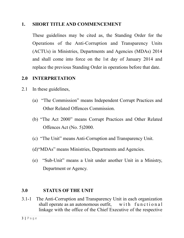#### **1. SHORT TITLE AND COMMENCEMENT**

These guidelines may be cited as, the Standing Order for the Operations of the Anti-Corruption and Transparency Units (ACTUs) in Ministries, Departments and Agencies (MDAs) 2014 and shall come into force on the 1st day of January 2014 and replace the previous Standing Order in operations before that date.

#### **2.0 INTERPRETATION**

- 2.1 In these guidelines,
	- (a) "The Commission" means Independent Corrupt Practices and Other Related Offences Commission.
	- (b) "The Act 2000" means Corrupt Practices and Other Related Offences Act (No. 5)2000.
	- (c) "The Unit" means Anti-Corruption and Transparency Unit.
	- (d)"MDAs" means Ministries, Departments and Agencies.
	- (e) "Sub-Unit" means a Unit under another Unit in a Ministry, Department or Agency.

#### **3.0 STATUS OF THE UNIT**

3.1-1 The Anti-Corruption and Transparency Unit in each organization shall operate as an autonomous outfit, with functional linkage with the office of the Chief Executive of the respective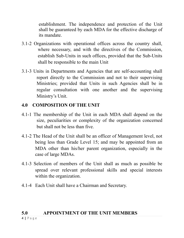establishment. The independence and protection of the Unit shall be guaranteed by each MDA for the effective discharge of its mandate.

- 3.1-2 Organizations with operational offices across the country shall, where necessary, and with the directives of the Commission, establish Sub-Units in such offices, provided that the Sub-Units shall be responsible to the main Unit
- 3.1-3 Units in Departments and Agencies that are self-accounting shall report directly to the Commission and not to their supervising Ministries; provided that Units in such Agencies shall be in regular consultation with one another and the supervising Ministry's Unit.

#### **4.0 COMPOSITION OF THE UNIT**

- 4.1-1 The membership of the Unit in each MDA shall depend on the size, peculiarities or complexity of the organization concerned but shall not be less than five.
- 4.1-2 The Head of the Unit shall be an officer of Management level, not being less than Grade Level 15; and may be appointed from an MDA other than his/her parent organization, especially in the case of large MDAs.
- 4.1-3 Selection of members of the Unit shall as much as possible be spread over relevant professional skills and special interests within the organization.
- 4.1-4 Each Unit shall have a Chairman and Secretary.

#### **5.0 APPOINTMENT OF THE UNIT MEMBERS**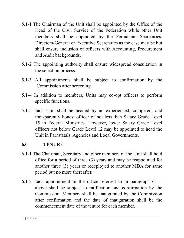- 5.1-1 The Chairman of the Unit shall be appointed by the Office of the Head of the Civil Service of the Federation while other Unit members shall be appointed by the Permanent Secretaries, Directors-General or Executive Secretaries as the case may be but shall ensure inclusion of officers with Accounting, Procurement and Audit backgrounds.
- 5.1-2 The appointing authority shall ensure widespread consultation in the selection process.
- 5.1-3 All appointments shall be subject to confirmation by the Commission after screening.
- 5.1-4 In addition to members, Units may co-opt officers to perform specific functions.
- 5.1-5 Each Unit shall be headed by an experienced, competent and transparently honest officer of not less than Salary Grade Level 15 in Federal Ministries. However, lower Salary Grade Level officers not below Grade Level 12 may be appointed to head the Unit in Parastatals, Agencies and Local Governments.

#### **6.0 TENURE**

- 6.1-1 The Chairman, Secretary and other members of the Unit shall hold office for a period of three (3) years and may be reappointed for another three (3) years or redeployed to another MDA for same period but no more thereafter.
- 6.1-2 Each appointment in the office referred to in paragraph 6.1-1 above shall be subject to ratification and confirmation by the Commission. Members shall be inaugurated by the Commission after confirmation and the date of inauguration shall be the commencement date of the tenure for each member.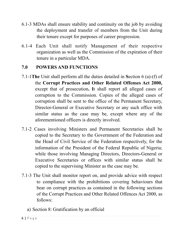- 6.1-3 MDAs shall ensure stability and continuity on the job by avoiding the deployment and transfer of members from the Unit during their tenure except for purposes of career progression.
- 6.1-4 Each Unit shall notify Management of their respective organization as well as the Commission of the expiration of their tenure in a particular MDA.

#### **7.0 POWERS AND FUNCTIONS**

- 7.1-1**The** Unit shall perform all the duties detailed in **S**ection 6 (a)-(f) of the **Corrupt Practices and Other Related Offenses Act 2000,** except that of prosecution**. I**t shall report all alleged cases of corruption to the Commission. Copies of the alleged cases of corruption shall be sent to the office of the Permanent Secretary, Director-General or Executive Secretary or any such office with similar status as the case may be, except where any of the aforementioned officers is directly involved.
- 7.1-2 Cases involving Ministers and Permanent Secretaries shall be copied to the Secretary to the Government of the Federation and the Head of Civil Service of the Federation respectively, for the information of the President of the Federal Republic of Nigeria; while those involving Managing Directors, Directors-General or Executive Secretaries or offices with similar status shall be copied to the supervising Minister as the case may be.
- 7.1-3 The Unit shall monitor report on, and provide advice with respect to compliance with the prohibitions covering behaviours that bear on corrupt practices as contained in the following sections of the Corrupt Practices and Other Related Offences Act 2000, as follows:
	- a) Section 8: Gratification by an official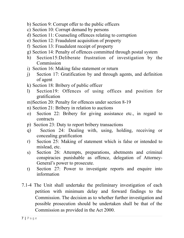- b) Section 9: Corrupt offer to the public officers
- c) Section 10: Corrupt demand by persons
- d) Section 11: Counseling offences relating to corruption
- e) Section 12: Fraudulent acquisition of property
- f) Section 13: Fraudulent receipt of property
- g) Section 14: Penalty of offences committed through postal system
- h) Section15:Deliberate frustration of investigation by the Commission
- i) Section 16: Making false statement or return
- j) Section 17: Gratification by and through agents, and definition of agent
- k) Section 18: Bribery of public officer
- l) Section19: Offences of using offices and position for gratification
- m)Section 20: Penalty for offences under section 8-19
- n) Section 21: Bribery in relation to auctions
- o) Section 22: Bribery for giving assistance etc., in regard to contracts
- p) Section 23: Duty to report bribery transactions
- q) Section 24: Dealing with, using, holding, receiving or concealing gratification
- r) Section 25: Making of statement which is false or intended to mislead, etc.
- s) Section 26: Attempts, preparations, abetments and criminal conspiracies punishable as offence, delegation of Attorney-General's power to prosecute.
- t) Section 27: Power to investigate reports and enquire into information
- 7.1-4 The Unit shall undertake the preliminary investigation of each petition with minimum delay and forward findings to the Commission. The decision as to whether further investigation and possible prosecution should be undertaken shall be that of the Commission as provided in the Act 2000.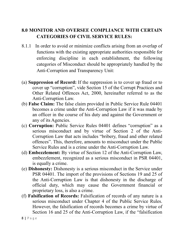#### **8.0 MONITOR AND OVERSEE COMPLIANCE WITH CERTAIN CATEGORIES OF CIVIL SERVICE RULES:**

- 8.1.1 In order to avoid or minimize conflicts arising from an overlap of functions with the existing appropriate authorities responsible for enforcing discipline in each establishment, the following categories of Misconduct should be appropriately handled by the Anti-Corruption and Transparency Unit:
- (a) **Suppression of Record:** If the suppression is to cover up fraud or to cover up "corruption", vide Section 15 of the Corrupt Practices and Other Related Offences Act, 2000, hereinafter referred to as the Anti-Corruption Law.
- (b) **False Claim:** The false claim provided in Public Service Rule 04401 becomes a crime under the Anti-Corruption Law if it was made by an officer in the course of his duty and against the Government or any of its Agencies.
- (c) **Corruption:** Public Service Rules 04401 defines "corruption" as a serious misconduct and by virtue of Section 2 of the Anti-Corruption Law that acts includes "bribery, fraud and other related offences". This, therefore, amounts to misconduct under the Public Service Rules and is a crime under the Anti-Corruption Law.
- (d) **Embezzlement:** By virtue of Section 12 of the Anti-Corruption Law, embezzlement, recognized as a serious misconduct in PSR 04401, is equally a crime.
- (e) **Dishonesty:** Dishonesty is a serious misconduct in the Service under PSR 04401. The import of the provisions of Sections 19 and 25 of the Anti-Corruption Law is that dishonesty in the discharge of official duty, which may cause the Government financial or proprietary loss, is also a crime.
- (f) **Falsification of Records:** Falsification of records of any nature is a serious misconduct under Chapter 4 of the Public Service Rules. However, the falsification of records becomes a crime by virtue of Section 16 and 25 of the Anti-Corruption Law, if the "falsification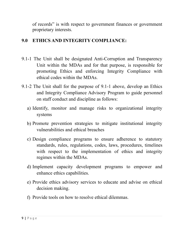of records" is with respect to government finances or government proprietary interests.

#### **9.0 ETHICS AND INTEGRITY COMPLIANCE:**

- 9.1-1 The Unit shall be designated Anti-Corruption and Transparency Unit within the MDAs and for that purpose, is responsible for promoting Ethics and enforcing Integrity Compliance with ethical codes within the MDAs.
- 9.1-2 The Unit shall for the purpose of 9.1-1 above, develop an Ethics and Integrity Compliance Advisory Program to guide personnel on staff conduct and discipline as follows:
	- a) Identify, monitor and manage risks to organizational integrity systems
	- b) Promote prevention strategies to mitigate institutional integrity vulnerabilities and ethical breaches
	- c) Design compliance programs to ensure adherence to statutory standards, rules, regulations, codes, laws, procedures, timelines with respect to the implementation of ethics and integrity regimes within the MDAs.
	- d) Implement capacity development programs to empower and enhance ethics capabilities.
	- e) Provide ethics advisory services to educate and advise on ethical decision making.
	- f) Provide tools on how to resolve ethical dilemmas.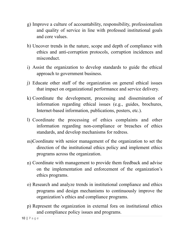- g) Improve a culture of accountability, responsibility, professionalism and quality of service in line with professed institutional goals and core values.
- h) Uncover trends in the nature, scope and depth of compliance with ethics and anti-corruption protocols, corruption incidences and misconduct.
- i) Assist the organization to develop standards to guide the ethical approach to government business.
- j) Educate other staff of the organization on general ethical issues that impact on organizational performance and service delivery.
- k) Coordinate the development, processing and dissemination of information regarding ethical issues (e.g., guides, brochures, Internet-based information, publications, posters, etc.).
- l) Coordinate the processing of ethics complaints and other information regarding non-compliance or breaches of ethics standards, and develop mechanisms for redress.
- m)Coordinate with senior management of the organization to set the direction of the institutional ethics policy and implement ethics programs across the organization.
- n) Coordinate with management to provide them feedback and advise on the implementation and enforcement of the organization's ethics programs.
- o) Research and analyze trends in institutional compliance and ethics programs and design mechanisms to continuously improve the organization's ethics and compliance programs.
- p) Represent the organization in external fora on institutional ethics and compliance policy issues and programs.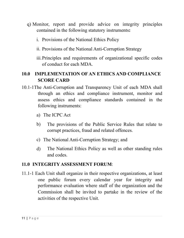- q) Monitor, report and provide advice on integrity principles contained in the following statutory instruments**:**
	- i. Provisions of the National Ethics Policy
	- ii. Provisions of the National Anti-Corruption Strategy
	- iii.Principles and requirements of organizational specific codes of conduct for each MDA.

#### **10.0 IMPLEMENTATION OF AN ETHICS AND COMPLIANCE SCORE CARD**

- 10.1-1The Anti-Corruption and Transparency Unit of each MDA shall through an ethics and compliance instrument, monitor and assess ethics and compliance standards contained in the following instruments:
	- a) The ICPC Act
	- b) The provisions of the Public Service Rules that relate to corrupt practices, fraud and related offences.
	- c) The National Anti-Corruption Strategy; and
	- d) The National Ethics Policy as well as other standing rules and codes.

#### **11.0 INTEGRITY ASSESSMENT FORUM**:

11.1-1 Each Unit shall organize in their respective organizations, at least one public forum every calendar year for integrity and performance evaluation where staff of the organization and the Commission shall be invited to partake in the review of the activities of the respective Unit.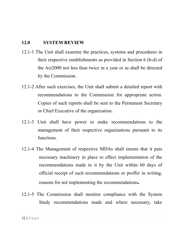#### **12.0 SYSTEM REVIEW**

- 12.1-1 The Unit shall examine the practices, systems and procedures in their respective establishments as provided in Section 6 (b-d) of the Act2000 not less than twice in a year or as shall be directed by the Commission.
- 12.1-2 After such exercises, the Unit shall submit a detailed report with recommendations to the Commission for appropriate action. Copies of such reports shall be sent to the Permanent Secretary or Chief Executive of the organization.
- 12.1-3 Unit shall have power to make recommendations to the management of their respective organizations pursuant to its functions.
- 12.1-4 The Management of respective MDAs shall ensure that it puts necessary machinery in place to effect implementation of the recommendations made to it by the Unit within 60 days of official receipt of such recommendations or proffer in writing, reasons for not implementing the recommendations**.**
- 12.1-5 The Commission shall monitor compliance with the System Study recommendations made and where necessary, take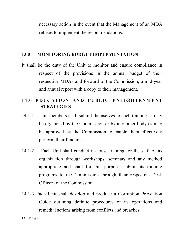necessary action in the event that the Management of an MDA refuses to implement the recommendations.

#### **13.0 MONITORING BUDGET IMPLEMENTATION**

It shall be the duty of the Unit to monitor and ensure compliance in respect of the provisions in the annual budget of their respective MDAs and forward to the Commission, a mid-year and annual report with a copy to their management.

#### **14.0 EDUCATION AND PUBLIC ENLIGHTENMENT STRATEGIES**

- 14.1-1 Unit members shall submit themselves to such training as may be organized by the Commission or by any other body as may be approved by the Commission to enable them effectively perform their functions.
- 14.1-2 Each Unit shall conduct in-house training for the staff of its organization through workshops, seminars and any method appropriate and shall for this purpose, submit its training programs to the Commission through their respective Desk Officers of the Commission.
- 14.1-3 Each Unit shall develop and produce a Corruption Prevention Guide outlining definite procedures of its operations and remedial actions arising from conflicts and breaches.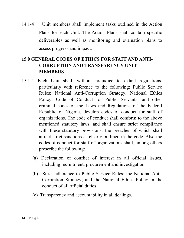14.1-4 Unit members shall implement tasks outlined in the Action Plans for each Unit. The Action Plans shall contain specific deliverables as well as monitoring and evaluation plans to assess progress and impact.

#### **15.0 GENERAL CODES OF ETHICS FOR STAFF AND ANTI-CORRUPTION AND TRANSPARENCY UNIT MEMBERS**

- 15.1-1 Each Unit shall, without prejudice to extant regulations, particularly with reference to the following: Public Service Rules; National Anti-Corruption Strategy; National Ethics Policy; Code of Conduct for Public Servants; and other criminal codes of the Laws and Regulations of the Federal Republic of Nigeria, develop codes of conduct for staff of organizations. The code of conduct shall conform to the above mentioned statutory laws, and shall ensure strict compliance with these statutory provisions; the breaches of which shall attract strict sanctions as clearly outlined in the code. Also the codes of conduct for staff of organizations shall, among others prescribe the following:
	- (a) Declaration of conflict of interest in all official issues, including recruitment, procurement and investigation.
	- (b) Strict adherence to Public Service Rules; the National Anti-Corruption Strategy; and the National Ethics Policy in the conduct of all official duties.
	- (c) Transparency and accountability in all dealings.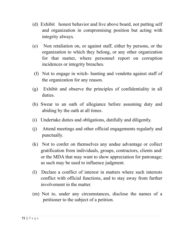- (d) Exhibit honest behavior and live above board, not putting self and organization in compromising position but acting with integrity always.
- (e) Non retaliation on, or against staff, either by persons, or the organization to which they belong, or any other organization for that matter, where personnel report on corruption incidences or integrity breaches.
- (f) Not to engage in witch- hunting and vendetta against staff of the organization for any reason.
- (g) Exhibit and observe the principles of confidentiality in all duties.
- (h) Swear to an oath of allegiance before assuming duty and abiding by the oath at all times.
- (i) Undertake duties and obligations, dutifully and diligently.
- (j) Attend meetings and other official engagements regularly and punctually.
- (k) Not to confer on themselves any undue advantage or collect gratification from individuals, groups, contractors, clients and/ or the MDA that may want to show appreciation for patronage; as such may be used to influence judgment.
- (l) Declare a conflict of interest in matters where such interests conflict with official functions, and to stay away from further involvement in the matter.
- (m) Not to, under any circumstances, disclose the names of a petitioner to the subject of a petition.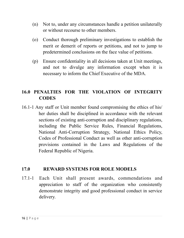- (n) Not to, under any circumstances handle a petition unilaterally or without recourse to other members.
- (o) Conduct thorough preliminary investigations to establish the merit or demerit of reports or petitions, and not to jump to predetermined conclusions on the face value of petitions.
- (p) Ensure confidentiality in all decisions taken at Unit meetings, and not to divulge any information except when it is necessary to inform the Chief Executive of the MDA.

#### **16.0 PENALTIES FOR THE VIOLATION OF INTEGRITY CODES**

16.1-1 Any staff or Unit member found compromising the ethics of his/ her duties shall be disciplined in accordance with the relevant sections of existing anti-corruption and disciplinary regulations, including the Public Service Rules, Financial Regulations, National Anti-Corruption Strategy, National Ethics Policy, Codes of Professional Conduct as well as other anti-corruption provisions contained in the Laws and Regulations of the Federal Republic of Nigeria.

#### **17.0 REWARD SYSTEMS FOR ROLE MODELS**

17.1-1 Each Unit shall present awards, commendations and appreciation to staff of the organization who consistently demonstrate integrity and good professional conduct in service delivery.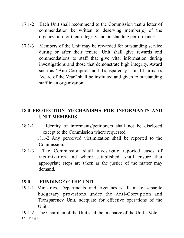- 17.1-2 Each Unit shall recommend to the Commission that a letter of commendation be written to deserving member(s) of the organization for their integrity and outstanding performance.
- 17.1-3 Members of the Unit may be rewarded for outstanding service during or after their tenure. Unit shall give rewards and commendations to staff that give vital information during investigations and those that demonstrate high integrity. Award such as "Anti-Corruption and Transparency Unit Chairman's Award of the Year" shall be instituted and given to outstanding staff in an organization.

#### **18.0 PROTECTION MECHANISMS FOR INFORMANTS AND UNIT MEMBERS**

18.1-1 Identity of informants/petitioners shall not be disclosed except to the Commission where requested.

> 18.1-2 Any perceived victimization shall be reported to the Commission.

18.1-3 The Commission shall investigate reported cases of victimization and where established, shall ensure that appropriate steps are taken as the justice of the matter may demand.

#### **19.0 FUNDING OF THE UNIT**

- 19.1-1 Ministries, Departments and Agencies shall make separate budgetary provisions under the Anti-Corruption and Transparency Unit, adequate for effective operations of the Units.
- 19.1-2 The Chairman of the Unit shall be in charge of the Unit's Vote. 17 **|** Page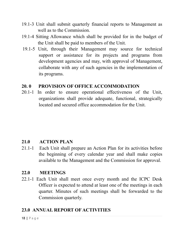- 19.1-3 Unit shall submit quarterly financial reports to Management as well as to the Commission.
- 19.1-4 Sitting Allowance which shall be provided for in the budget of the Unit shall be paid to members of the Unit.
- 19.1-5 Unit, through their Management may source for technical support or assistance for its projects and programs from development agencies and may, with approval of Management, collaborate with any of such agencies in the implementation of its programs.

#### **20. 0 PROVISION OF OFFICE ACCOMMODATION**

20.1-1 In order to ensure operational effectiveness of the Unit, organizations shall provide adequate, functional, strategically located and secured office accommodation for the Unit.

#### **21.0 ACTION PLAN**

21.1-1 Each Unit shall prepare an Action Plan for its activities before the beginning of every calendar year and shall make copies available to the Management and the Commission for approval.

#### **22.0 MEETINGS**

22.1-1 Each Unit shall meet once every month and the ICPC Desk Officer is expected to attend at least one of the meetings in each quarter. Minutes of such meetings shall be forwarded to the Commission quarterly.

#### **23.0 ANNUAL REPORT OF ACTIVITIES**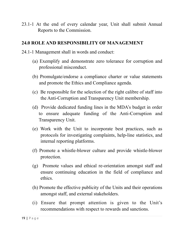23.1-1 At the end of every calendar year, Unit shall submit Annual Reports to the Commission.

#### **24.0 ROLE AND RESPONSIBILITY OF MANAGEMENT**

- 24.1-1 Management shall in words and conduct:
	- (a) Exemplify and demonstrate zero tolerance for corruption and professional misconduct.
	- (b) Promulgate/endorse a compliance charter or value statements and promote the Ethics and Compliance agenda.
	- (c) Be responsible for the selection of the right calibre of staff into the Anti-Corruption and Transparency Unit membership.
	- (d) Provide dedicated funding lines in the MDA's budget in order to ensure adequate funding of the Anti-Corruption and Transparency Unit.
	- (e) Work with the Unit to incorporate best practices, such as protocols for investigating complaints, help-line statistics, and internal reporting platforms.
	- (f) Promote a whistle-blower culture and provide whistle-blower protection.
	- (g) Promote values and ethical re-orientation amongst staff and ensure continuing education in the field of compliance and ethics.
	- (h) Promote the effective publicity of the Units and their operations amongst staff, and external stakeholders.
	- (i) Ensure that prompt attention is given to the Unit's recommendations with respect to rewards and sanctions.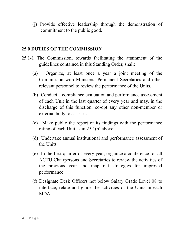(j) Provide effective leadership through the demonstration of commitment to the public good.

#### **25.0 DUTIES OF THE COMMISSION**

- 25.1-1 The Commission, towards facilitating the attainment of the guidelines contained in this Standing Order, shall:
	- (a) Organize, at least once a year a joint meeting of the Commission with Ministers, Permanent Secretaries and other relevant personnel to review the performance of the Units.
	- (b) Conduct a compliance evaluation and performance assessment of each Unit in the last quarter of every year and may, in the discharge of this function, co-opt any other non-member or external body to assist it.
	- (c) Make public the report of its findings with the performance rating of each Unit as in 25.1(b) above.
	- (d) Undertake annual institutional and performance assessment of the Units.
	- (e) In the first quarter of every year, organize a conference for all ACTU Chairpersons and Secretaries to review the activities of the previous year and map out strategies for improved performance.
	- (f) Designate Desk Officers not below Salary Grade Level 08 to interface, relate and guide the activities of the Units in each MDA.